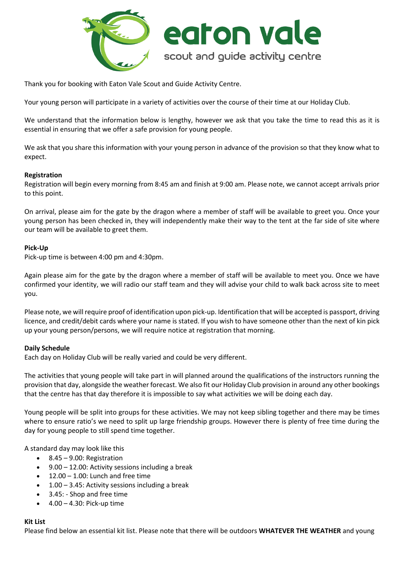

Thank you for booking with Eaton Vale Scout and Guide Activity Centre.

Your young person will participate in a variety of activities over the course of their time at our Holiday Club.

We understand that the information below is lengthy, however we ask that you take the time to read this as it is essential in ensuring that we offer a safe provision for young people.

We ask that you share this information with your young person in advance of the provision so that they know what to expect.

#### **Registration**

Registration will begin every morning from 8:45 am and finish at 9:00 am. Please note, we cannot accept arrivals prior to this point.

On arrival, please aim for the gate by the dragon where a member of staff will be available to greet you. Once your young person has been checked in, they will independently make their way to the tent at the far side of site where our team will be available to greet them.

#### **Pick-Up**

Pick-up time is between 4:00 pm and 4:30pm.

Again please aim for the gate by the dragon where a member of staff will be available to meet you. Once we have confirmed your identity, we will radio our staff team and they will advise your child to walk back across site to meet you.

Please note, we will require proof of identification upon pick-up. Identification that will be accepted is passport, driving licence, and credit/debit cards where your name is stated. If you wish to have someone other than the next of kin pick up your young person/persons, we will require notice at registration that morning.

#### **Daily Schedule**

Each day on Holiday Club will be really varied and could be very different.

The activities that young people will take part in will planned around the qualifications of the instructors running the provision that day, alongside the weather forecast. We also fit our Holiday Club provision in around any other bookings that the centre has that day therefore it is impossible to say what activities we will be doing each day.

Young people will be split into groups for these activities. We may not keep sibling together and there may be times where to ensure ratio's we need to split up large friendship groups. However there is plenty of free time during the day for young people to still spend time together.

A standard day may look like this

- 8.45 9.00: Registration
- 9.00 12.00: Activity sessions including a break
- $12.00 1.00$ : Lunch and free time
- $\bullet$  1.00 3.45: Activity sessions including a break
- 3.45: Shop and free time
- 4.00 4.30: Pick-up time

#### **Kit List**

Please find below an essential kit list. Please note that there will be outdoors **WHATEVER THE WEATHER** and young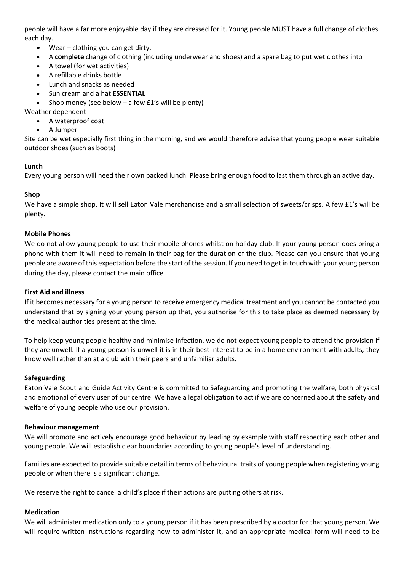people will have a far more enjoyable day if they are dressed for it. Young people MUST have a full change of clothes each day.

- Wear clothing you can get dirty.
- A **complete** change of clothing (including underwear and shoes) and a spare bag to put wet clothes into
- A towel (for wet activities)
- A refillable drinks bottle
- Lunch and snacks as needed
- Sun cream and a hat **ESSENTIAL**
- Shop money (see below  $-$  a few £1's will be plenty)

Weather dependent

- A waterproof coat
- A Jumper

Site can be wet especially first thing in the morning, and we would therefore advise that young people wear suitable outdoor shoes (such as boots)

## **Lunch**

Every young person will need their own packed lunch. Please bring enough food to last them through an active day.

## **Shop**

We have a simple shop. It will sell Eaton Vale merchandise and a small selection of sweets/crisps. A few £1's will be plenty.

#### **Mobile Phones**

We do not allow young people to use their mobile phones whilst on holiday club. If your young person does bring a phone with them it will need to remain in their bag for the duration of the club. Please can you ensure that young people are aware of this expectation before the start of the session. If you need to get in touch with your young person during the day, please contact the main office.

#### **First Aid and illness**

If it becomes necessary for a young person to receive emergency medical treatment and you cannot be contacted you understand that by signing your young person up that, you authorise for this to take place as deemed necessary by the medical authorities present at the time.

To help keep young people healthy and minimise infection, we do not expect young people to attend the provision if they are unwell. If a young person is unwell it is in their best interest to be in a home environment with adults, they know well rather than at a club with their peers and unfamiliar adults.

#### **Safeguarding**

Eaton Vale Scout and Guide Activity Centre is committed to Safeguarding and promoting the welfare, both physical and emotional of every user of our centre. We have a legal obligation to act if we are concerned about the safety and welfare of young people who use our provision.

#### **Behaviour management**

We will promote and actively encourage good behaviour by leading by example with staff respecting each other and young people. We will establish clear boundaries according to young people's level of understanding.

Families are expected to provide suitable detail in terms of behavioural traits of young people when registering young people or when there is a significant change.

We reserve the right to cancel a child's place if their actions are putting others at risk.

## **Medication**

We will administer medication only to a young person if it has been prescribed by a doctor for that young person. We will require written instructions regarding how to administer it, and an appropriate medical form will need to be